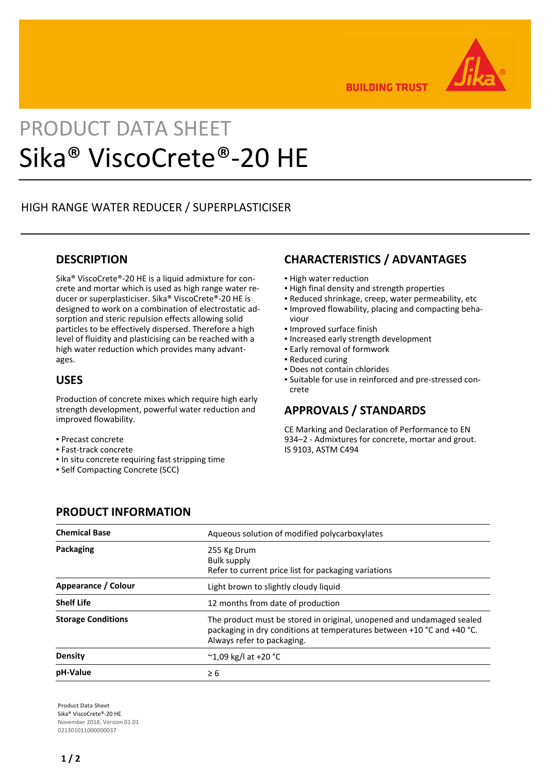

**BUILDING TRUST** 

# PRODUCT DATA SHEET Sika® ViscoCrete®-20 HE

## HIGH RANGE WATER REDUCER / SUPERPLASTICISER

#### **DESCRIPTION**

Sika® ViscoCrete®-20 HE is a liquid admixture for concrete and mortar which is used as high range water reducer or superplasticiser. Sika® ViscoCrete®-20 HE is designed to work on a combination of electrostatic adsorption and steric repulsion effects allowing solid particles to be effectively dispersed. Therefore a high level of fluidity and plasticising can be reached with a high water reduction which provides many advantages.

#### **USES**

Production of concrete mixes which require high early strength development, powerful water reduction and improved flowability.

- Precast concrete
- Fast-track concrete
- **.** In situ concrete requiring fast stripping time
- Self Compacting Concrete (SCC)

## **CHARACTERISTICS / ADVANTAGES**

- **.** High water reduction
- **.** High final density and strength properties
- Reduced shrinkage, creep, water permeability, etc
- **.** Improved flowability, placing and compacting behaviour
- Improved surface finish
- Increased early strength development
- **Early removal of formwork**
- Reduced curing
- Does not contain chlorides
- Suitable for use in reinforced and pre-stressed con-▪ crete

### **APPROVALS / STANDARDS**

CE Marking and Declaration of Performance to EN 934–2 - Admixtures for concrete, mortar and grout. IS 9103, ASTM C494

#### **PRODUCT INFORMATION**

| <b>Chemical Base</b>      | Aqueous solution of modified polycarboxylates                                                                                                                                 |
|---------------------------|-------------------------------------------------------------------------------------------------------------------------------------------------------------------------------|
| Packaging                 | 255 Kg Drum<br>Bulk supply<br>Refer to current price list for packaging variations                                                                                            |
| Appearance / Colour       | Light brown to slightly cloudy liquid                                                                                                                                         |
| <b>Shelf Life</b>         | 12 months from date of production                                                                                                                                             |
| <b>Storage Conditions</b> | The product must be stored in original, unopened and undamaged sealed<br>packaging in dry conditions at temperatures between +10 °C and +40 °C.<br>Always refer to packaging. |
| Density                   | $^{\circ}$ 1,09 kg/l at +20 $^{\circ}$ C                                                                                                                                      |
| pH-Value                  | $\geq 6$                                                                                                                                                                      |

**Product Data Sheet** Sika® ViscoCrete®-20 HE November 2018, Version 01.01 021301011000000037